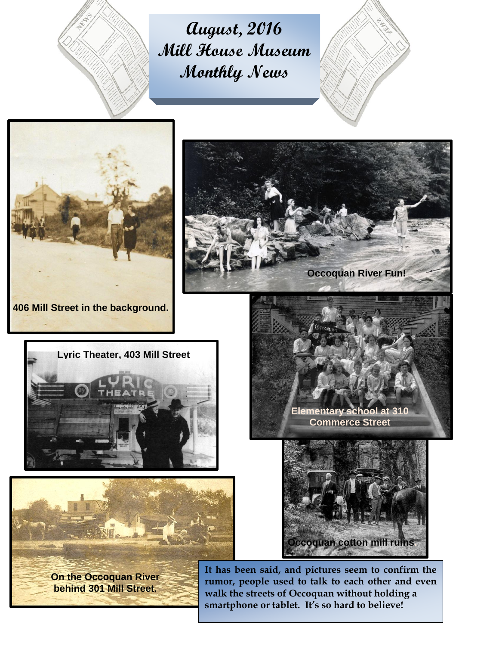

**August, 2016 Mill House Museum Monthly News**









**On the Occoquan River behind 301 Mill Street.**

**Occoquan River Fun!**





**It has been said, and pictures seem to confirm the rumor, people used to talk to each other and even walk the streets of Occoquan without holding a smartphone or tablet. It's so hard to believe!**